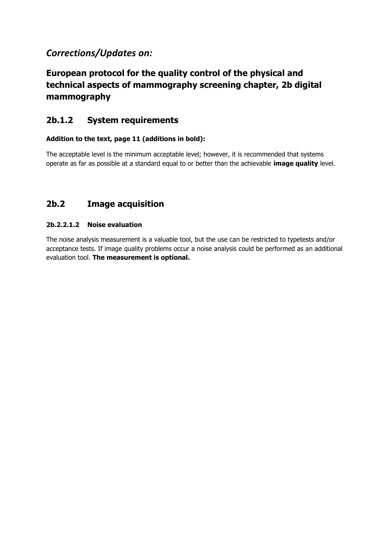# *Corrections/Updates on:*

# **European protocol for the quality control of the physical and technical aspects of mammography screening chapter, 2b digital mammography**

## **2b.1.2 System requirements**

#### **Addition to the text, page 11 (additions in bold):**

The acceptable level is the minimum acceptable level; however, it is recommended that systems operate as far as possible at a standard equal to or better than the achievable **image quality** level.

## **2b.2 Image acquisition**

#### **2b.2.2.1.2 Noise evaluation**

The noise analysis measurement is a valuable tool, but the use can be restricted to typetests and/or acceptance tests. If image quality problems occur a noise analysis could be performed as an additional evaluation tool. **The measurement is optional.**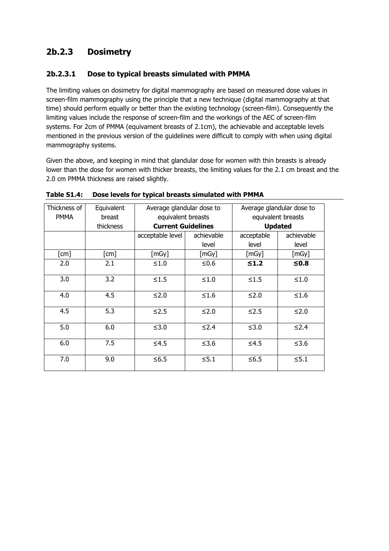# **2b.2.3 Dosimetry**

### **2b.2.3.1 Dose to typical breasts simulated with PMMA**

The limiting values on dosimetry for digital mammography are based on measured dose values in screen-film mammography using the principle that a new technique (digital mammography at that time) should perform equally or better than the existing technology (screen-film). Consequently the limiting values include the response of screen-film and the workings of the AEC of screen-film systems. For 2cm of PMMA (equivament breasts of 2.1cm), the achievable and acceptable levels mentioned in the previous version of the guidelines were difficult to comply with when using digital mammography systems.

Given the above, and keeping in mind that glandular dose for women with thin breasts is already lower than the dose for women with thicker breasts, the limiting values for the 2.1 cm breast and the 2.0 cm PMMA thickness are raised slightly.

| Thickness of         | Equivalent           | Average glandular dose to |            | Average glandular dose to |            |
|----------------------|----------------------|---------------------------|------------|---------------------------|------------|
| <b>PMMA</b>          | breast               | equivalent breasts        |            | equivalent breasts        |            |
|                      | thickness            | <b>Current Guidelines</b> |            | <b>Updated</b>            |            |
|                      |                      | acceptable level          | achievable | acceptable                | achievable |
|                      |                      |                           | level      | level                     | level      |
| $\lceil$ cm $\rceil$ | $\lceil$ cm $\rceil$ | [mGy]                     | [mGy]      | [mGy]                     | [mGy]      |
| 2.0                  | 2.1                  | $≤1.0$                    | ≤0.6       | $\leq 1.2$                | $≤0.8$     |
| 3.0                  | 3.2                  | $\leq 1.5$                | $≤1.0$     | $≤1.5$                    | $≤1.0$     |
| 4.0                  | 4.5                  | $≤2.0$                    | $≤1.6$     | $≤2.0$                    | $≤1.6$     |
| 4.5                  | 5.3                  | $\leq$ 2.5                | $≤2.0$     | ≤2.5                      | $≤2.0$     |
| 5.0                  | 6.0                  | $≤3.0$                    | $\leq$ 2.4 | $≤3.0$                    | $\leq 2.4$ |
| 6.0                  | 7.5                  | $≤4.5$                    | $≤3.6$     | $≤4.5$                    | $≤3.6$     |
| 7.0                  | 9.0                  | $≤6.5$                    | $\leq 5.1$ | $\leq 6.5$                | $≤5.1$     |

**Table S1.4: Dose levels for typical breasts simulated with PMMA**